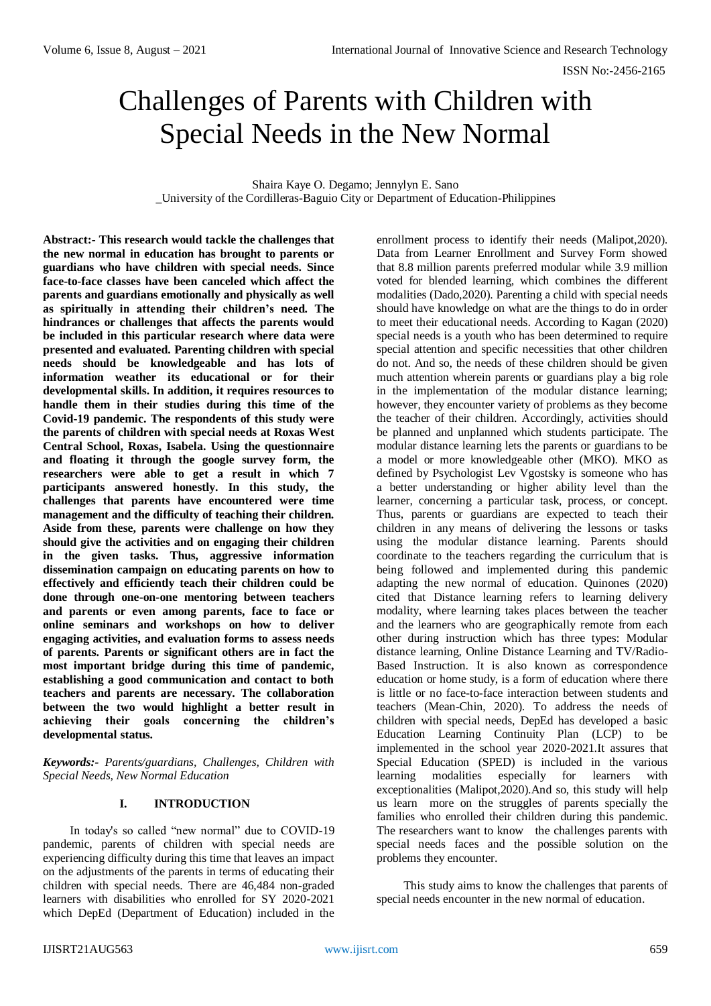ISSN No:-2456-2165

# Challenges of Parents with Children with Special Needs in the New Normal

Shaira Kaye O. Degamo; Jennylyn E. Sano \_University of the Cordilleras-Baguio City or Department of Education-Philippines

**Abstract:- This research would tackle the challenges that the new normal in education has brought to parents or guardians who have children with special needs. Since face-to-face classes have been canceled which affect the parents and guardians emotionally and physically as well as spiritually in attending their children's need. The hindrances or challenges that affects the parents would be included in this particular research where data were presented and evaluated. Parenting children with special needs should be knowledgeable and has lots of information weather its educational or for their developmental skills. In addition, it requires resources to handle them in their studies during this time of the Covid-19 pandemic. The respondents of this study were the parents of children with special needs at Roxas West Central School, Roxas, Isabela. Using the questionnaire and floating it through the google survey form, the researchers were able to get a result in which 7 participants answered honestly. In this study, the challenges that parents have encountered were time management and the difficulty of teaching their children. Aside from these, parents were challenge on how they should give the activities and on engaging their children in the given tasks. Thus, aggressive information dissemination campaign on educating parents on how to effectively and efficiently teach their children could be done through one-on-one mentoring between teachers and parents or even among parents, face to face or online seminars and workshops on how to deliver engaging activities, and evaluation forms to assess needs of parents. Parents or significant others are in fact the most important bridge during this time of pandemic, establishing a good communication and contact to both teachers and parents are necessary. The collaboration between the two would highlight a better result in achieving their goals concerning the children's developmental status.**

*Keywords:- Parents/guardians, Challenges, Children with Special Needs, New Normal Education*

# **I. INTRODUCTION**

In today's so called "new normal" due to COVID-19 pandemic, parents of children with special needs are experiencing difficulty during this time that leaves an impact on the adjustments of the parents in terms of educating their children with special needs. There are 46,484 non-graded learners with disabilities who enrolled for SY 2020-2021 which DepEd (Department of Education) included in the

enrollment process to identify their needs (Malipot,2020). Data from Learner Enrollment and Survey Form showed that 8.8 million parents preferred modular while 3.9 million voted for blended learning, which combines the different modalities (Dado,2020). Parenting a child with special needs should have knowledge on what are the things to do in order to meet their educational needs. According to Kagan (2020) special needs is a youth who has been determined to require special attention and specific necessities that other children do not. And so, the needs of these children should be given much attention wherein parents or guardians play a big role in the implementation of the modular distance learning; however, they encounter variety of problems as they become the teacher of their children. Accordingly, activities should be planned and unplanned which students participate. The modular distance learning lets the parents or guardians to be a model or more knowledgeable other (MKO). MKO as defined by Psychologist Lev Vgostsky is someone who has a better understanding or higher ability level than the learner, concerning a particular task, process, or concept. Thus, parents or guardians are expected to teach their children in any means of delivering the lessons or tasks using the modular distance learning. Parents should coordinate to the teachers regarding the curriculum that is being followed and implemented during this pandemic adapting the new normal of education. Quinones (2020) cited that Distance learning refers to learning delivery modality, where learning takes places between the teacher and the learners who are geographically remote from each other during instruction which has three types: Modular distance learning, Online Distance Learning and TV/Radio-Based Instruction. It is also known as correspondence education or home study, is a form of education where there is little or no face-to-face interaction between students and teachers (Mean-Chin, 2020). To address the needs of children with special needs, DepEd has developed a basic Education Learning Continuity Plan (LCP) to be implemented in the school year 2020-2021.It assures that Special Education (SPED) is included in the various learning modalities especially for learners with exceptionalities (Malipot,2020).And so, this study will help us learn more on the struggles of parents specially the families who enrolled their children during this pandemic. The researchers want to know the challenges parents with special needs faces and the possible solution on the problems they encounter.

This study aims to know the challenges that parents of special needs encounter in the new normal of education.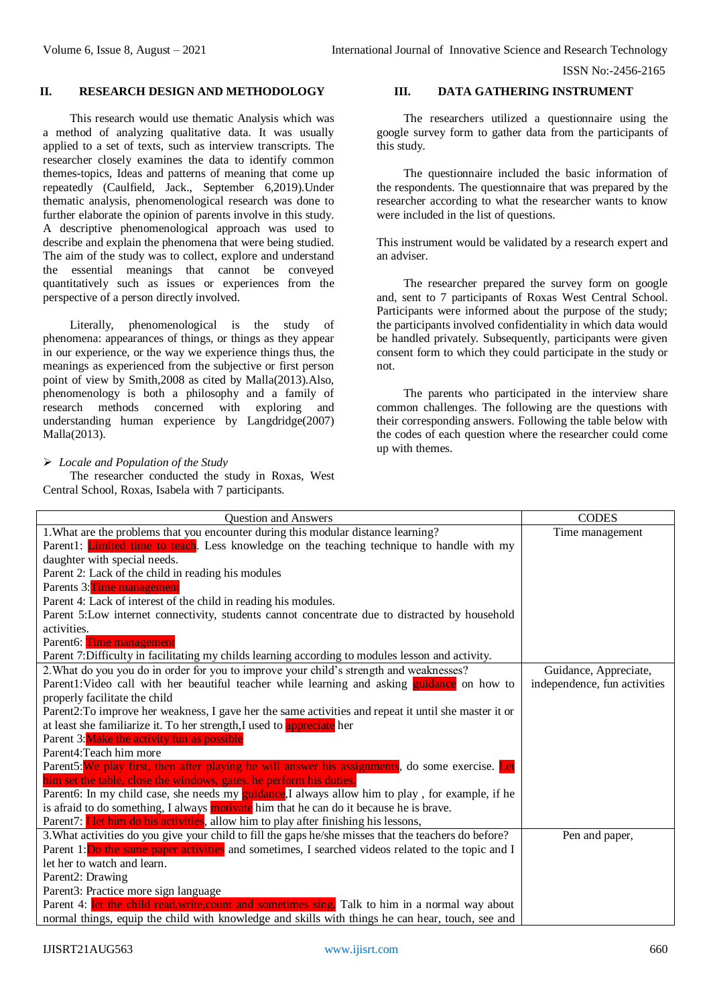ISSN No:-2456-2165

#### **II. RESEARCH DESIGN AND METHODOLOGY**

This research would use thematic Analysis which was a method of analyzing qualitative data. It was usually applied to a set of texts, such as interview transcripts. The researcher closely examines the data to identify common themes-topics, Ideas and patterns of meaning that come up repeatedly (Caulfield, Jack., September 6,2019).Under thematic analysis, phenomenological research was done to further elaborate the opinion of parents involve in this study. A descriptive phenomenological approach was used to describe and explain the phenomena that were being studied. The aim of the study was to collect, explore and understand the essential meanings that cannot be conveyed quantitatively such as issues or experiences from the perspective of a person directly involved.

Literally, phenomenological is the study of phenomena: appearances of things, or things as they appear in our experience, or the way we experience things thus, the meanings as experienced from the subjective or first person point of view by Smith,2008 as cited by Malla(2013).Also, phenomenology is both a philosophy and a family of research methods concerned with exploring and understanding human experience by Langdridge(2007) Malla(2013).

#### *Locale and Population of the Study*

The researcher conducted the study in Roxas, West Central School, Roxas, Isabela with 7 participants.

## **III. DATA GATHERING INSTRUMENT**

The researchers utilized a questionnaire using the google survey form to gather data from the participants of this study.

The questionnaire included the basic information of the respondents. The questionnaire that was prepared by the researcher according to what the researcher wants to know were included in the list of questions.

This instrument would be validated by a research expert and an adviser.

The researcher prepared the survey form on google and, sent to 7 participants of Roxas West Central School. Participants were informed about the purpose of the study; the participants involved confidentiality in which data would be handled privately. Subsequently, participants were given consent form to which they could participate in the study or not.

The parents who participated in the interview share common challenges. The following are the questions with their corresponding answers. Following the table below with the codes of each question where the researcher could come up with themes.

| Question and Answers                                                                                  | <b>CODES</b>                 |
|-------------------------------------------------------------------------------------------------------|------------------------------|
| 1. What are the problems that you encounter during this modular distance learning?                    | Time management              |
| Parent1: <b>Limited time to teach</b> . Less knowledge on the teaching technique to handle with my    |                              |
| daughter with special needs.                                                                          |                              |
| Parent 2: Lack of the child in reading his modules                                                    |                              |
| Parents 3: Time management                                                                            |                              |
| Parent 4: Lack of interest of the child in reading his modules.                                       |                              |
| Parent 5:Low internet connectivity, students cannot concentrate due to distracted by household        |                              |
| activities.                                                                                           |                              |
| Parent6: Time management                                                                              |                              |
| Parent 7:Difficulty in facilitating my childs learning according to modules lesson and activity.      |                              |
| 2. What do you you do in order for you to improve your child's strength and weaknesses?               | Guidance, Appreciate,        |
| Parent1: Video call with her beautiful teacher while learning and asking guidance on how to           | independence, fun activities |
| properly facilitate the child                                                                         |                              |
| Parent2: To improve her weakness, I gave her the same activities and repeat it until she master it or |                              |
| at least she familiarize it. To her strength, I used to appreciate her                                |                              |
| Parent 3: Make the activity fun as possible                                                           |                              |
| Parent4: Teach him more                                                                               |                              |
| Parent5: We play first, then after playing he will answer his assignments, do some exercise. Let      |                              |
| him set the table, close the windows, gates. he perform his duties.                                   |                              |
| Parent6: In my child case, she needs my guidance, I always allow him to play, for example, if he      |                              |
| is afraid to do something, I always motivate him that he can do it because he is brave.               |                              |
| Parent7: <b>I</b> let him do his activities, allow him to play after finishing his lessons,           |                              |
| 3. What activities do you give your child to fill the gaps he/she misses that the teachers do before? | Pen and paper,               |
| Parent 1: Do the same paper activities and sometimes, I searched videos related to the topic and I    |                              |
| let her to watch and learn.                                                                           |                              |
| Parent2: Drawing                                                                                      |                              |
| Parent3: Practice more sign language                                                                  |                              |
| Parent 4: let the child read, write, count and sometimes sing. Talk to him in a normal way about      |                              |
| normal things, equip the child with knowledge and skills with things he can hear, touch, see and      |                              |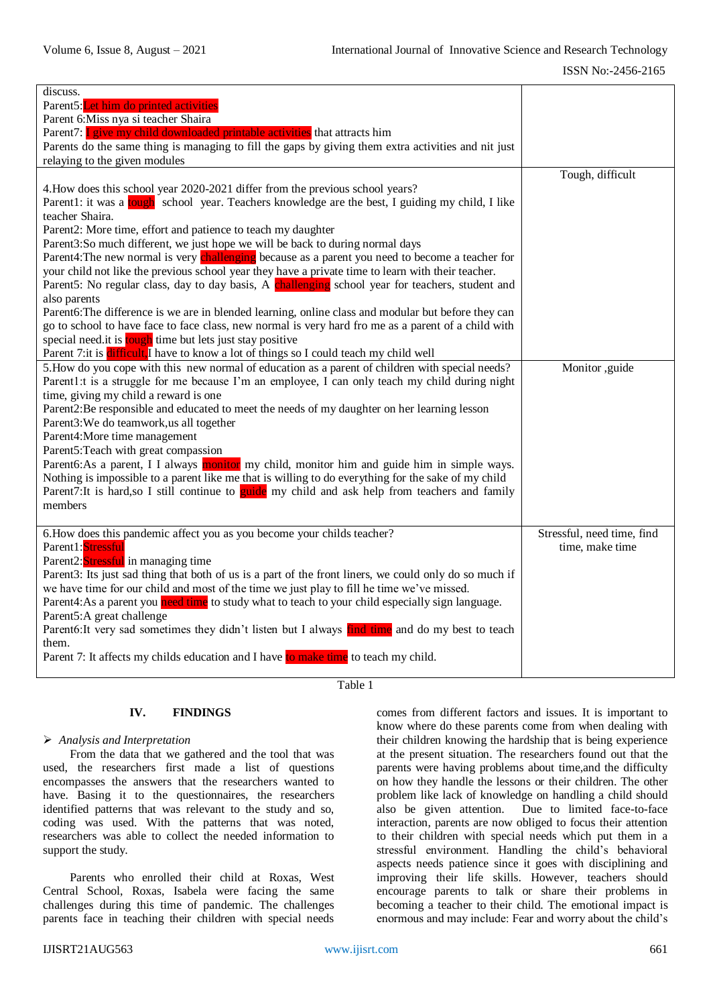| discuss.                                                                                               |                            |
|--------------------------------------------------------------------------------------------------------|----------------------------|
| Parent5: Let him do printed activities                                                                 |                            |
| Parent 6: Miss nya si teacher Shaira                                                                   |                            |
| Parent7: I give my child downloaded printable activities that attracts him                             |                            |
| Parents do the same thing is managing to fill the gaps by giving them extra activities and nit just    |                            |
| relaying to the given modules                                                                          |                            |
|                                                                                                        | Tough, difficult           |
| 4. How does this school year 2020-2021 differ from the previous school years?                          |                            |
| Parent1: it was a tough school year. Teachers knowledge are the best, I guiding my child, I like       |                            |
| teacher Shaira.                                                                                        |                            |
| Parent2: More time, effort and patience to teach my daughter                                           |                            |
| Parent3:So much different, we just hope we will be back to during normal days                          |                            |
| Parent4: The new normal is very challenging because as a parent you need to become a teacher for       |                            |
| your child not like the previous school year they have a private time to learn with their teacher.     |                            |
| Parent5: No regular class, day to day basis, A challenging school year for teachers, student and       |                            |
| also parents                                                                                           |                            |
| Parent6: The difference is we are in blended learning, online class and modular but before they can    |                            |
| go to school to have face to face class, new normal is very hard fro me as a parent of a child with    |                            |
| special need.it is tough time but lets just stay positive                                              |                            |
| Parent 7: it is difficult, I have to know a lot of things so I could teach my child well               |                            |
| 5. How do you cope with this new normal of education as a parent of children with special needs?       | Monitor ,guide             |
| Parent1:t is a struggle for me because I'm an employee, I can only teach my child during night         |                            |
| time, giving my child a reward is one                                                                  |                            |
| Parent2:Be responsible and educated to meet the needs of my daughter on her learning lesson            |                            |
| Parent3: We do teamwork, us all together                                                               |                            |
|                                                                                                        |                            |
| Parent4: More time management                                                                          |                            |
| Parent5: Teach with great compassion                                                                   |                            |
| Parent6:As a parent, I I always monitor my child, monitor him and guide him in simple ways.            |                            |
| Nothing is impossible to a parent like me that is willing to do everything for the sake of my child    |                            |
| Parent7: It is hard, so I still continue to guide my child and ask help from teachers and family       |                            |
| members                                                                                                |                            |
|                                                                                                        |                            |
| 6. How does this pandemic affect you as you become your childs teacher?                                | Stressful, need time, find |
| Parent1:Stressful                                                                                      | time, make time            |
| Parent2: Stressful in managing time                                                                    |                            |
| Parent3: Its just sad thing that both of us is a part of the front liners, we could only do so much if |                            |
| we have time for our child and most of the time we just play to fill he time we've missed.             |                            |
| Parent4: As a parent you need time to study what to teach to your child especially sign language.      |                            |
| Parent5:A great challenge                                                                              |                            |
| Parent6: It very sad sometimes they didn't listen but I always find time and do my best to teach       |                            |
|                                                                                                        |                            |
| them.                                                                                                  |                            |
| Parent 7: It affects my childs education and I have to make time to teach my child.                    |                            |

Table 1

# **IV. FINDINGS**

#### *Analysis and Interpretation*

From the data that we gathered and the tool that was used, the researchers first made a list of questions encompasses the answers that the researchers wanted to have. Basing it to the questionnaires, the researchers identified patterns that was relevant to the study and so, coding was used. With the patterns that was noted, researchers was able to collect the needed information to support the study.

Parents who enrolled their child at Roxas, West Central School, Roxas, Isabela were facing the same challenges during this time of pandemic. The challenges parents face in teaching their children with special needs

comes from different factors and issues. It is important to know where do these parents come from when dealing with their children knowing the hardship that is being experience at the present situation. The researchers found out that the parents were having problems about time,and the difficulty on how they handle the lessons or their children. The other problem like lack of knowledge on handling a child should also be given attention. Due to limited face-to-face interaction, parents are now obliged to focus their attention to their children with special needs which put them in a stressful environment. Handling the child's behavioral aspects needs patience since it goes with disciplining and improving their life skills. However, teachers should encourage parents to talk or share their problems in becoming a teacher to their child. The emotional impact is enormous and may include: Fear and worry about the child's